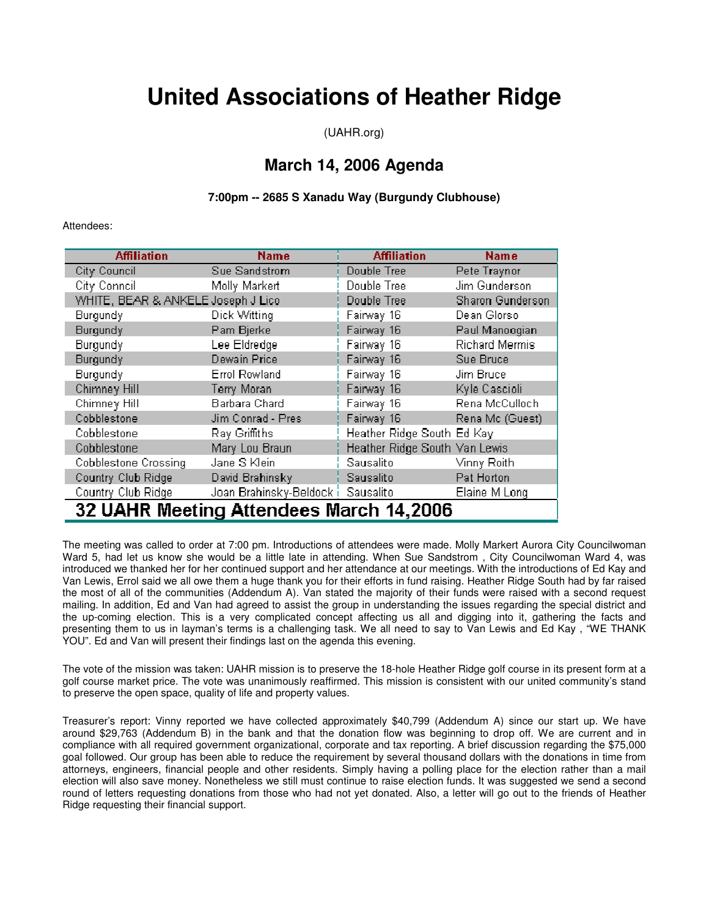# **United Associations of Heather Ridge**

(UAHR.org)

## **March 14, 2006 Agenda**

### **7:00pm -- 2685 S Xanadu Way (Burgundy Clubhouse)**

#### Attendees:

| <b>Affiliation</b>                      | <b>Name</b>              | <b>Affiliation</b>            | <b>Name</b>             |
|-----------------------------------------|--------------------------|-------------------------------|-------------------------|
| City Council                            | Sue Sandstrom            | Double Tree                   | Pete Traynor            |
| City Conneil                            | Molly Markert            | Double Tree                   | Jim Gunderson           |
| WHITE, BEAR & ANKELE Joseph J Lico      |                          | Double Tree                   | <b>Sharon Gunderson</b> |
| Burgundy                                | Dick Witting             | Fairway 16                    | Dean Glorso             |
| Burgundy                                | Pam Bjerke               | Fairway 16                    | Paul Manoogian          |
| Burgundy                                | Lee Eldredge             | Fairway 16                    | <b>Richard Mermis</b>   |
| Burgundy                                | Dewain Price             | Fairway 16                    | Sue Bruce               |
| Burgundy                                | <b>Errol Rowland</b>     | Fairway 16                    | Jim Bruce               |
| Chimney Hill                            | Terry Moran              | Fairway 16                    | Kyle Cascioli           |
| Chimney Hill                            | Barbara Chard            | Fairway 16                    | Rena McCulloch          |
| Cobblestone                             | Jim Conrad - Pres        | Fairway 16                    | Rena Mc (Guest)         |
| Cobblestone                             | Ray Griffiths            | Heather Ridge South Ed Kay    |                         |
| Cobblestone                             | Mary Lou Braun           | Heather Ridge South Van Lewis |                         |
| <b>Cobblestone Crossing</b>             | Jane S Klein             | Sausalito                     | Vinny Roith             |
| Country Club Ridge                      | David Brahinsky          | Sausalito                     | Pat Horton              |
| Country Club Ridge                      | Joan Brahinsky-Beldock i | Sausalito                     | Elaine M Long           |
| 32 UAHR Meeting Attendees March 14,2006 |                          |                               |                         |

The meeting was called to order at 7:00 pm. Introductions of attendees were made. Molly Markert Aurora City Councilwoman Ward 5, had let us know she would be a little late in attending. When Sue Sandstrom , City Councilwoman Ward 4, was introduced we thanked her for her continued support and her attendance at our meetings. With the introductions of Ed Kay and Van Lewis, Errol said we all owe them a huge thank you for their efforts in fund raising. Heather Ridge South had by far raised the most of all of the communities (Addendum A). Van stated the majority of their funds were raised with a second request mailing. In addition, Ed and Van had agreed to assist the group in understanding the issues regarding the special district and the up-coming election. This is a very complicated concept affecting us all and digging into it, gathering the facts and presenting them to us in layman's terms is a challenging task. We all need to say to Van Lewis and Ed Kay , "WE THANK YOU". Ed and Van will present their findings last on the agenda this evening.

The vote of the mission was taken: UAHR mission is to preserve the 18-hole Heather Ridge golf course in its present form at a golf course market price. The vote was unanimously reaffirmed. This mission is consistent with our united community's stand to preserve the open space, quality of life and property values.

Treasurer's report: Vinny reported we have collected approximately \$40,799 (Addendum A) since our start up. We have around \$29,763 (Addendum B) in the bank and that the donation flow was beginning to drop off. We are current and in compliance with all required government organizational, corporate and tax reporting. A brief discussion regarding the \$75,000 goal followed. Our group has been able to reduce the requirement by several thousand dollars with the donations in time from attorneys, engineers, financial people and other residents. Simply having a polling place for the election rather than a mail election will also save money. Nonetheless we still must continue to raise election funds. It was suggested we send a second round of letters requesting donations from those who had not yet donated. Also, a letter will go out to the friends of Heather Ridge requesting their financial support.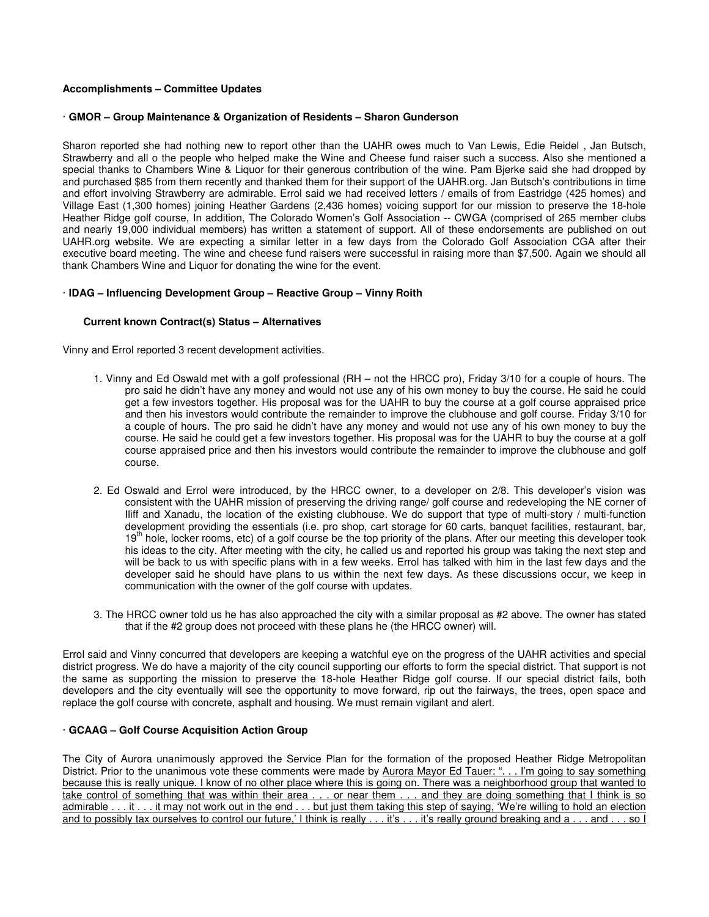#### **Accomplishments – Committee Updates**

#### · **GMOR – Group Maintenance & Organization of Residents – Sharon Gunderson**

Sharon reported she had nothing new to report other than the UAHR owes much to Van Lewis, Edie Reidel , Jan Butsch, Strawberry and all o the people who helped make the Wine and Cheese fund raiser such a success. Also she mentioned a special thanks to Chambers Wine & Liquor for their generous contribution of the wine. Pam Bjerke said she had dropped by and purchased \$85 from them recently and thanked them for their support of the UAHR.org. Jan Butsch's contributions in time and effort involving Strawberry are admirable. Errol said we had received letters / emails of from Eastridge (425 homes) and Village East (1,300 homes) joining Heather Gardens (2,436 homes) voicing support for our mission to preserve the 18-hole Heather Ridge golf course, In addition, The Colorado Women's Golf Association -- CWGA (comprised of 265 member clubs and nearly 19,000 individual members) has written a statement of support. All of these endorsements are published on out UAHR.org website. We are expecting a similar letter in a few days from the Colorado Golf Association CGA after their executive board meeting. The wine and cheese fund raisers were successful in raising more than \$7,500. Again we should all thank Chambers Wine and Liquor for donating the wine for the event.

#### · **IDAG – Influencing Development Group – Reactive Group – Vinny Roith**

#### **Current known Contract(s) Status – Alternatives**

Vinny and Errol reported 3 recent development activities.

- 1. Vinny and Ed Oswald met with a golf professional (RH not the HRCC pro), Friday 3/10 for a couple of hours. The pro said he didn't have any money and would not use any of his own money to buy the course. He said he could get a few investors together. His proposal was for the UAHR to buy the course at a golf course appraised price and then his investors would contribute the remainder to improve the clubhouse and golf course. Friday 3/10 for a couple of hours. The pro said he didn't have any money and would not use any of his own money to buy the course. He said he could get a few investors together. His proposal was for the UAHR to buy the course at a golf course appraised price and then his investors would contribute the remainder to improve the clubhouse and golf course.
- 2. Ed Oswald and Errol were introduced, by the HRCC owner, to a developer on 2/8. This developer's vision was consistent with the UAHR mission of preserving the driving range/ golf course and redeveloping the NE corner of Iliff and Xanadu, the location of the existing clubhouse. We do support that type of multi-story / multi-function development providing the essentials (i.e. pro shop, cart storage for 60 carts, banquet facilities, restaurant, bar,  $19<sup>th</sup>$  hole, locker rooms, etc) of a golf course be the top priority of the plans. After our meeting this developer took his ideas to the city. After meeting with the city, he called us and reported his group was taking the next step and will be back to us with specific plans with in a few weeks. Errol has talked with him in the last few days and the developer said he should have plans to us within the next few days. As these discussions occur, we keep in communication with the owner of the golf course with updates.
- 3. The HRCC owner told us he has also approached the city with a similar proposal as #2 above. The owner has stated that if the #2 group does not proceed with these plans he (the HRCC owner) will.

Errol said and Vinny concurred that developers are keeping a watchful eye on the progress of the UAHR activities and special district progress. We do have a majority of the city council supporting our efforts to form the special district. That support is not the same as supporting the mission to preserve the 18-hole Heather Ridge golf course. If our special district fails, both developers and the city eventually will see the opportunity to move forward, rip out the fairways, the trees, open space and replace the golf course with concrete, asphalt and housing. We must remain vigilant and alert.

#### · **GCAAG – Golf Course Acquisition Action Group**

The City of Aurora unanimously approved the Service Plan for the formation of the proposed Heather Ridge Metropolitan District. Prior to the unanimous vote these comments were made by Aurora Mayor Ed Tauer: "... I'm going to say something because this is really unique. I know of no other place where this is going on. There was a neighborhood group that wanted to take control of something that was within their area . . . or near them . . . and they are doing something that I think is so admirable . . . it . . . it may not work out in the end . . . but just them taking this step of saying, 'We're willing to hold an election and to possibly tax ourselves to control our future,' I think is really . . . it's . . . it's really ground breaking and a . . . and . . . so I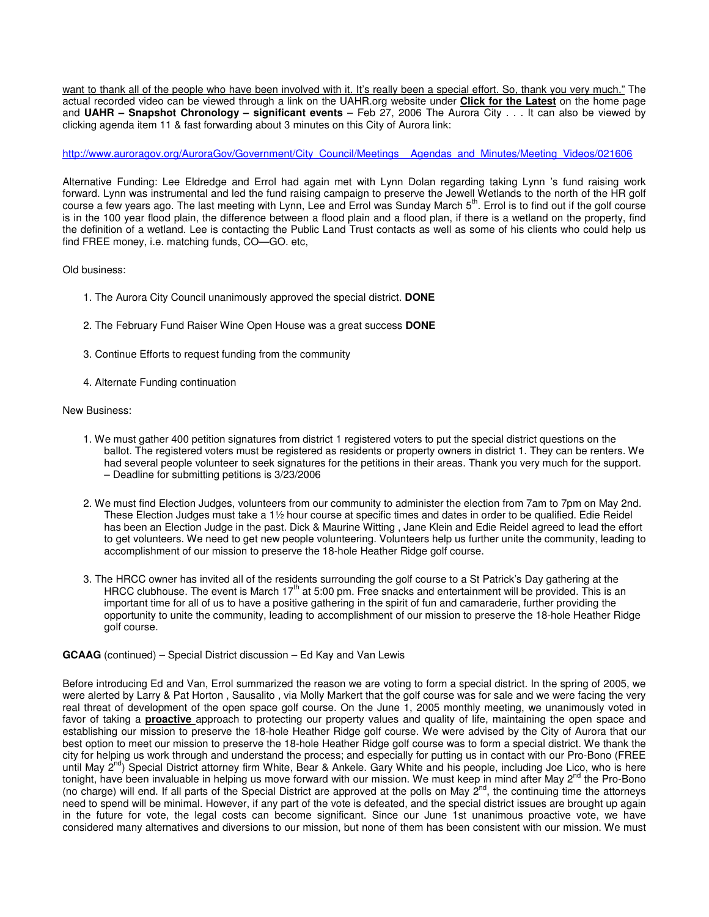want to thank all of the people who have been involved with it. It's really been a special effort. So, thank you very much." The actual recorded video can be viewed through a link on the UAHR.org website under **Click for the Latest** on the home page and **UAHR – Snapshot Chronology – significant events** – Feb 27, 2006 The Aurora City . . . It can also be viewed by clicking agenda item 11 & fast forwarding about 3 minutes on this City of Aurora link:

#### http://www.auroragov.org/AuroraGov/Government/City\_Council/Meetings\_\_Agendas\_and\_Minutes/Meeting\_Videos/021606

Alternative Funding: Lee Eldredge and Errol had again met with Lynn Dolan regarding taking Lynn 's fund raising work forward. Lynn was instrumental and led the fund raising campaign to preserve the Jewell Wetlands to the north of the HR golf course a few years ago. The last meeting with Lynn, Lee and Errol was Sunday March 5<sup>th</sup>. Errol is to find out if the golf course is in the 100 year flood plain, the difference between a flood plain and a flood plan, if there is a wetland on the property, find the definition of a wetland. Lee is contacting the Public Land Trust contacts as well as some of his clients who could help us find FREE money, i.e. matching funds, CO—GO. etc,

#### Old business:

- 1. The Aurora City Council unanimously approved the special district. **DONE**
- 2. The February Fund Raiser Wine Open House was a great success **DONE**
- 3. Continue Efforts to request funding from the community
- 4. Alternate Funding continuation

#### New Business:

- 1. We must gather 400 petition signatures from district 1 registered voters to put the special district questions on the ballot. The registered voters must be registered as residents or property owners in district 1. They can be renters. We had several people volunteer to seek signatures for the petitions in their areas. Thank you very much for the support. – Deadline for submitting petitions is 3/23/2006
- 2. We must find Election Judges, volunteers from our community to administer the election from 7am to 7pm on May 2nd. These Election Judges must take a 1½ hour course at specific times and dates in order to be qualified. Edie Reidel has been an Election Judge in the past. Dick & Maurine Witting , Jane Klein and Edie Reidel agreed to lead the effort to get volunteers. We need to get new people volunteering. Volunteers help us further unite the community, leading to accomplishment of our mission to preserve the 18-hole Heather Ridge golf course.
- 3. The HRCC owner has invited all of the residents surrounding the golf course to a St Patrick's Day gathering at the HRCC clubhouse. The event is March  $17<sup>th</sup>$  at 5:00 pm. Free snacks and entertainment will be provided. This is an important time for all of us to have a positive gathering in the spirit of fun and camaraderie, further providing the opportunity to unite the community, leading to accomplishment of our mission to preserve the 18-hole Heather Ridge golf course.

#### **GCAAG** (continued) – Special District discussion – Ed Kay and Van Lewis

Before introducing Ed and Van, Errol summarized the reason we are voting to form a special district. In the spring of 2005, we were alerted by Larry & Pat Horton , Sausalito , via Molly Markert that the golf course was for sale and we were facing the very real threat of development of the open space golf course. On the June 1, 2005 monthly meeting, we unanimously voted in favor of taking a **proactive** approach to protecting our property values and quality of life, maintaining the open space and establishing our mission to preserve the 18-hole Heather Ridge golf course. We were advised by the City of Aurora that our best option to meet our mission to preserve the 18-hole Heather Ridge golf course was to form a special district. We thank the city for helping us work through and understand the process; and especially for putting us in contact with our Pro-Bono (FREE until May  $2^{nd}$ ) Special District attorney firm White, Bear & Ankele. Gary White and his people, including Joe Lico, who is here tonight, have been invaluable in helping us move forward with our mission. We must keep in mind after May  $2^{nd}$  the Pro-Bono (no charge) will end. If all parts of the Special District are approved at the polls on May 2<sup>nd</sup>, the continuing time the attorneys need to spend will be minimal. However, if any part of the vote is defeated, and the special district issues are brought up again in the future for vote, the legal costs can become significant. Since our June 1st unanimous proactive vote, we have considered many alternatives and diversions to our mission, but none of them has been consistent with our mission. We must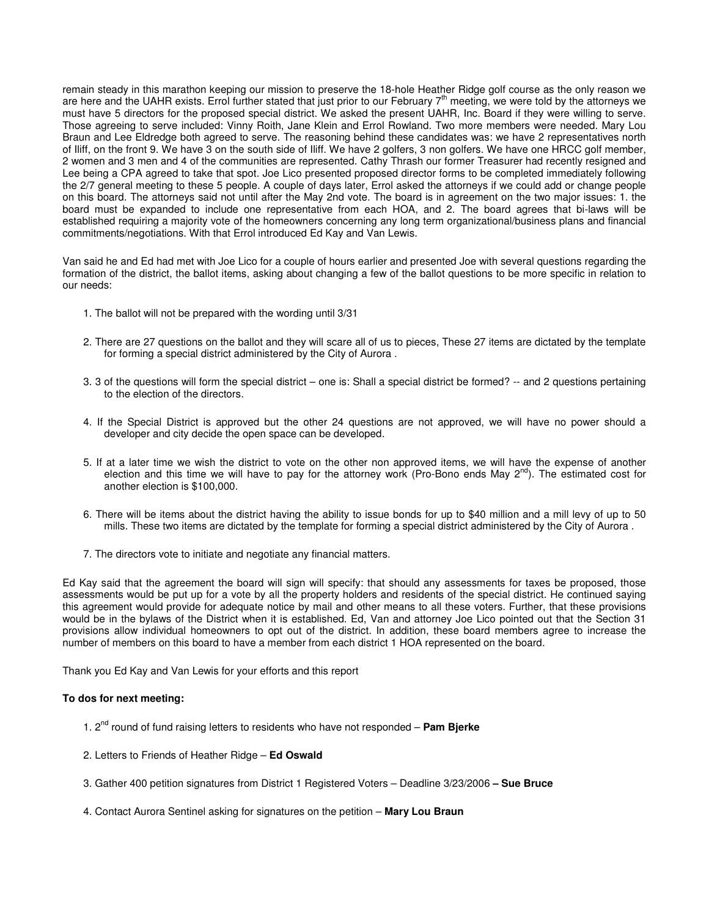remain steady in this marathon keeping our mission to preserve the 18-hole Heather Ridge golf course as the only reason we are here and the UAHR exists. Errol further stated that just prior to our February  $7<sup>th</sup>$  meeting, we were told by the attorneys we must have 5 directors for the proposed special district. We asked the present UAHR, Inc. Board if they were willing to serve. Those agreeing to serve included: Vinny Roith, Jane Klein and Errol Rowland. Two more members were needed. Mary Lou Braun and Lee Eldredge both agreed to serve. The reasoning behind these candidates was: we have 2 representatives north of Iliff, on the front 9. We have 3 on the south side of Iliff. We have 2 golfers, 3 non golfers. We have one HRCC golf member, 2 women and 3 men and 4 of the communities are represented. Cathy Thrash our former Treasurer had recently resigned and Lee being a CPA agreed to take that spot. Joe Lico presented proposed director forms to be completed immediately following the 2/7 general meeting to these 5 people. A couple of days later, Errol asked the attorneys if we could add or change people on this board. The attorneys said not until after the May 2nd vote. The board is in agreement on the two major issues: 1. the board must be expanded to include one representative from each HOA, and 2. The board agrees that bi-laws will be established requiring a majority vote of the homeowners concerning any long term organizational/business plans and financial commitments/negotiations. With that Errol introduced Ed Kay and Van Lewis.

Van said he and Ed had met with Joe Lico for a couple of hours earlier and presented Joe with several questions regarding the formation of the district, the ballot items, asking about changing a few of the ballot questions to be more specific in relation to our needs:

- 1. The ballot will not be prepared with the wording until 3/31
- 2. There are 27 questions on the ballot and they will scare all of us to pieces, These 27 items are dictated by the template for forming a special district administered by the City of Aurora .
- 3. 3 of the questions will form the special district one is: Shall a special district be formed? -- and 2 questions pertaining to the election of the directors.
- 4. If the Special District is approved but the other 24 questions are not approved, we will have no power should a developer and city decide the open space can be developed.
- 5. If at a later time we wish the district to vote on the other non approved items, we will have the expense of another election and this time we will have to pay for the attorney work (Pro-Bono ends May  $2^{nd}$ ). The estimated cost for another election is \$100,000.
- 6. There will be items about the district having the ability to issue bonds for up to \$40 million and a mill levy of up to 50 mills. These two items are dictated by the template for forming a special district administered by the City of Aurora .
- 7. The directors vote to initiate and negotiate any financial matters.

Ed Kay said that the agreement the board will sign will specify: that should any assessments for taxes be proposed, those assessments would be put up for a vote by all the property holders and residents of the special district. He continued saying this agreement would provide for adequate notice by mail and other means to all these voters. Further, that these provisions would be in the bylaws of the District when it is established. Ed, Van and attorney Joe Lico pointed out that the Section 31 provisions allow individual homeowners to opt out of the district. In addition, these board members agree to increase the number of members on this board to have a member from each district 1 HOA represented on the board.

Thank you Ed Kay and Van Lewis for your efforts and this report

#### **To dos for next meeting:**

- 1. 2nd round of fund raising letters to residents who have not responded **Pam Bjerke**
- 2. Letters to Friends of Heather Ridge **Ed Oswald**
- 3. Gather 400 petition signatures from District 1 Registered Voters Deadline 3/23/2006  **Sue Bruce**
- 4. Contact Aurora Sentinel asking for signatures on the petition **Mary Lou Braun**